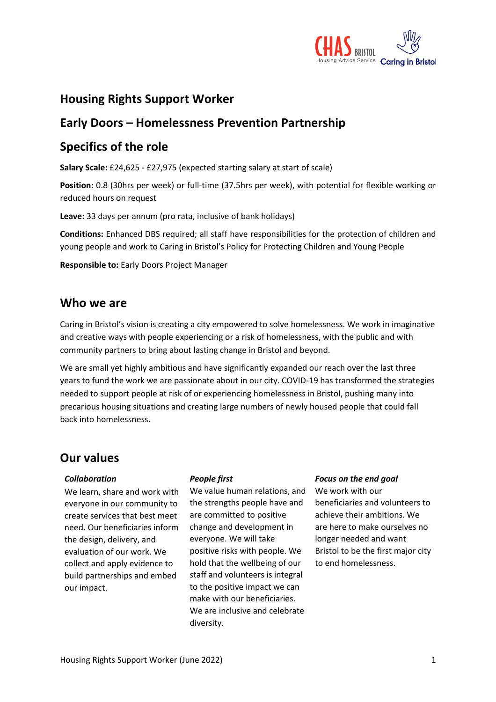

### **Housing Rights Support Worker**

### **Early Doors – Homelessness Prevention Partnership**

### **Specifics of the role**

**Salary Scale:** £24,625 - £27,975 (expected starting salary at start of scale)

**Position:** 0.8 (30hrs per week) or full-time (37.5hrs per week), with potential for flexible working or reduced hours on request

**Leave:** 33 days per annum (pro rata, inclusive of bank holidays)

**Conditions:** Enhanced DBS required; all staff have responsibilities for the protection of children and young people and work to Caring in Bristol's Policy for Protecting Children and Young People

**Responsible to:** Early Doors Project Manager

### **Who we are**

Caring in Bristol's vision is creating a city empowered to solve homelessness. We work in imaginative and creative ways with people experiencing or a risk of homelessness, with the public and with community partners to bring about lasting change in Bristol and beyond.

We are small yet highly ambitious and have significantly expanded our reach over the last three years to fund the work we are passionate about in our city. COVID-19 has transformed the strategies needed to support people at risk of or experiencing homelessness in Bristol, pushing many into precarious housing situations and creating large numbers of newly housed people that could fall back into homelessness.

### **Our values**

#### *Collaboration*

We learn, share and work with everyone in our community to create services that best meet need. Our beneficiaries inform the design, delivery, and evaluation of our work. We collect and apply evidence to build partnerships and embed our impact.

#### *People first*

We value human relations, and the strengths people have and are committed to positive change and development in everyone. We will take positive risks with people. We hold that the wellbeing of our staff and volunteers is integral to the positive impact we can make with our beneficiaries. We are inclusive and celebrate diversity.

#### *Focus on the end goal*

We work with our beneficiaries and volunteers to achieve their ambitions. We are here to make ourselves no longer needed and want Bristol to be the first major city to end homelessness.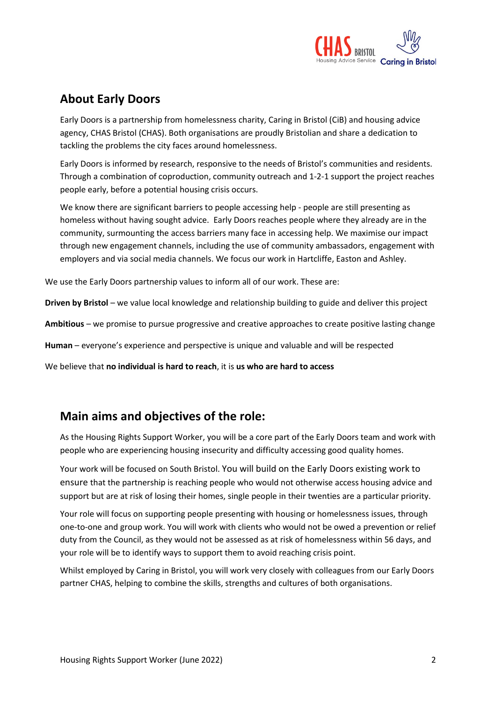

## **About Early Doors**

Early Doors is a partnership from homelessness charity, Caring in Bristol (CiB) and housing advice agency, CHAS Bristol (CHAS). Both organisations are proudly Bristolian and share a dedication to tackling the problems the city faces around homelessness.

Early Doors is informed by research, responsive to the needs of Bristol's communities and residents. Through a combination of coproduction, community outreach and 1-2-1 support the project reaches people early, before a potential housing crisis occurs.

We know there are significant barriers to people accessing help - people are still presenting as homeless without having sought advice. Early Doors reaches people where they already are in the community, surmounting the access barriers many face in accessing help. We maximise our impact through new engagement channels, including the use of community ambassadors, engagement with employers and via social media channels. We focus our work in Hartcliffe, Easton and Ashley.

We use the Early Doors partnership values to inform all of our work. These are:

**Driven by Bristol** – we value local knowledge and relationship building to guide and deliver this project

**Ambitious** – we promise to pursue progressive and creative approaches to create positive lasting change

**Human** – everyone's experience and perspective is unique and valuable and will be respected

We believe that **no individual is hard to reach**, it is **us who are hard to access**

### **Main aims and objectives of the role:**

As the Housing Rights Support Worker, you will be a core part of the Early Doors team and work with people who are experiencing housing insecurity and difficulty accessing good quality homes.

Your work will be focused on South Bristol. You will build on the Early Doors existing work to ensure that the partnership is reaching people who would not otherwise access housing advice and support but are at risk of losing their homes, single people in their twenties are a particular priority.

Your role will focus on supporting people presenting with housing or homelessness issues, through one-to-one and group work. You will work with clients who would not be owed a prevention or relief duty from the Council, as they would not be assessed as at risk of homelessness within 56 days, and your role will be to identify ways to support them to avoid reaching crisis point.

Whilst employed by Caring in Bristol, you will work very closely with colleagues from our Early Doors partner CHAS, helping to combine the skills, strengths and cultures of both organisations.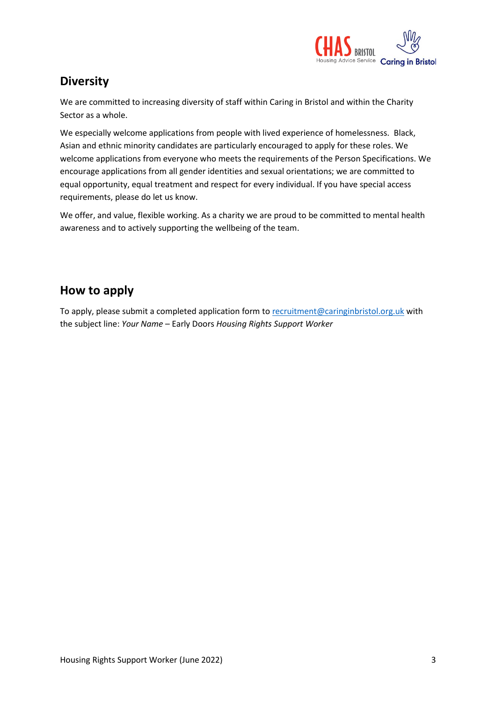

# **Diversity**

We are committed to increasing diversity of staff within Caring in Bristol and within the Charity Sector as a whole.

We especially welcome applications from people with lived experience of homelessness. Black, Asian and ethnic minority candidates are particularly encouraged to apply for these roles. We welcome applications from everyone who meets the requirements of the Person Specifications. We encourage applications from all gender identities and sexual orientations; we are committed to equal opportunity, equal treatment and respect for every individual. If you have special access requirements, please do let us know.

We offer, and value, flexible working. As a charity we are proud to be committed to mental health awareness and to actively supporting the wellbeing of the team.

## **How to apply**

To apply, please submit a completed application form to [recruitment@caringinbristol.org.uk](mailto:recruitment@caringinbristol.org.uk) with the subject line: *Your Name* – Early Doors *Housing Rights Support Worker*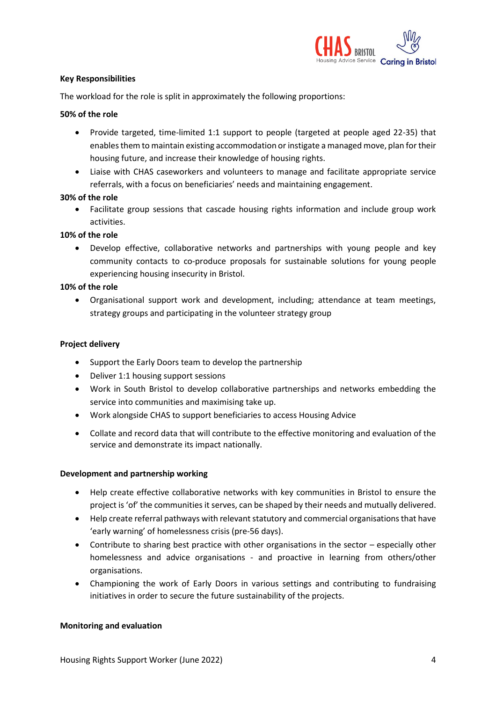

#### **Key Responsibilities**

The workload for the role is split in approximately the following proportions:

#### **50% of the role**

- Provide targeted, time-limited 1:1 support to people (targeted at people aged 22-35) that enables them to maintain existing accommodation or instigate a managed move, plan for their housing future, and increase their knowledge of housing rights.
- Liaise with CHAS caseworkers and volunteers to manage and facilitate appropriate service referrals, with a focus on beneficiaries' needs and maintaining engagement.

#### **30% of the role**

• Facilitate group sessions that cascade housing rights information and include group work activities.

#### **10% of the role**

• Develop effective, collaborative networks and partnerships with young people and key community contacts to co-produce proposals for sustainable solutions for young people experiencing housing insecurity in Bristol.

#### **10% of the role**

• Organisational support work and development, including; attendance at team meetings, strategy groups and participating in the volunteer strategy group

#### **Project delivery**

- Support the Early Doors team to develop the partnership
- Deliver 1:1 housing support sessions
- Work in South Bristol to develop collaborative partnerships and networks embedding the service into communities and maximising take up.
- Work alongside CHAS to support beneficiaries to access Housing Advice
- Collate and record data that will contribute to the effective monitoring and evaluation of the service and demonstrate its impact nationally.

#### **Development and partnership working**

- Help create effective collaborative networks with key communities in Bristol to ensure the project is 'of' the communities it serves, can be shaped by their needs and mutually delivered.
- Help create referral pathways with relevant statutory and commercial organisations that have 'early warning' of homelessness crisis (pre-56 days).
- Contribute to sharing best practice with other organisations in the sector especially other homelessness and advice organisations - and proactive in learning from others/other organisations.
- Championing the work of Early Doors in various settings and contributing to fundraising initiatives in order to secure the future sustainability of the projects.

#### **Monitoring and evaluation**